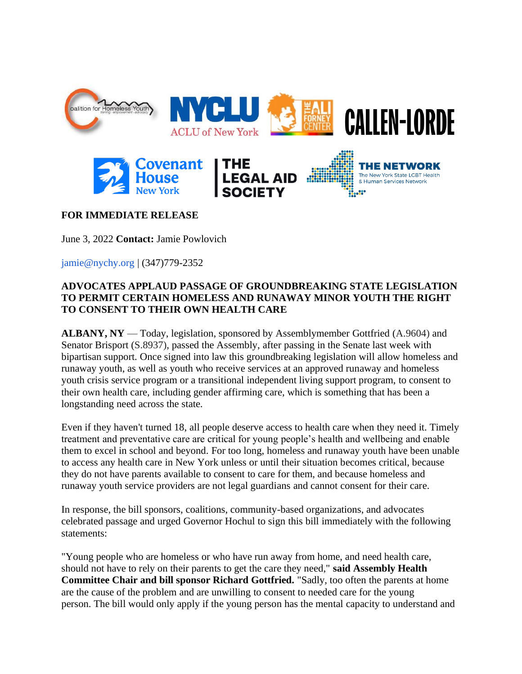

## **FOR IMMEDIATE RELEASE**

June 3, 2022 **Contact:** Jamie Powlovich

jamie@nychy.org | (347)779-2352

## **ADVOCATES APPLAUD PASSAGE OF GROUNDBREAKING STATE LEGISLATION TO PERMIT CERTAIN HOMELESS AND RUNAWAY MINOR YOUTH THE RIGHT TO CONSENT TO THEIR OWN HEALTH CARE**

**ALBANY, NY** — Today, legislation, sponsored by Assemblymember Gottfried (A.9604) and Senator Brisport (S.8937), passed the Assembly, after passing in the Senate last week with bipartisan support. Once signed into law this groundbreaking legislation will allow homeless and runaway youth, as well as youth who receive services at an approved runaway and homeless youth crisis service program or a transitional independent living support program, to consent to their own health care, including gender affirming care, which is something that has been a longstanding need across the state.

Even if they haven't turned 18, all people deserve access to health care when they need it. Timely treatment and preventative care are critical for young people's health and wellbeing and enable them to excel in school and beyond. For too long, homeless and runaway youth have been unable to access any health care in New York unless or until their situation becomes critical, because they do not have parents available to consent to care for them, and because homeless and runaway youth service providers are not legal guardians and cannot consent for their care.

In response, the bill sponsors, coalitions, community-based organizations, and advocates celebrated passage and urged Governor Hochul to sign this bill immediately with the following statements:

"Young people who are homeless or who have run away from home, and need health care, should not have to rely on their parents to get the care they need," **said Assembly Health Committee Chair and bill sponsor Richard Gottfried.** "Sadly, too often the parents at home are the cause of the problem and are unwilling to consent to needed care for the young person. The bill would only apply if the young person has the mental capacity to understand and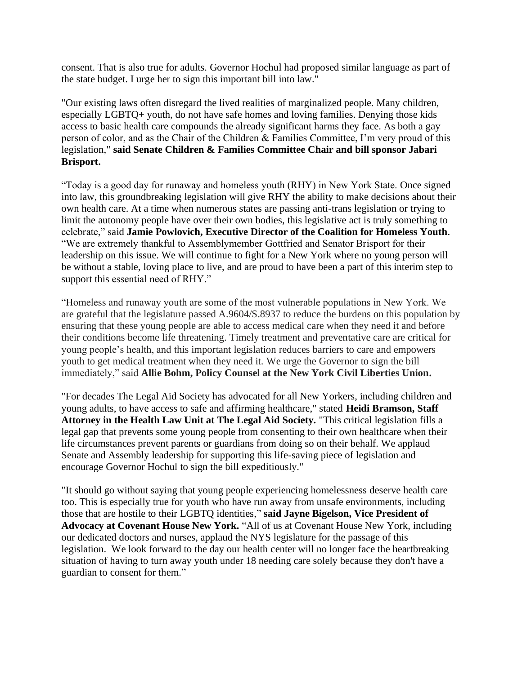consent. That is also true for adults. Governor Hochul had proposed similar language as part of the state budget. I urge her to sign this important bill into law."

"Our existing laws often disregard the lived realities of marginalized people. Many children, especially LGBTQ+ youth, do not have safe homes and loving families. Denying those kids access to basic health care compounds the already significant harms they face. As both a gay person of color, and as the Chair of the Children & Families Committee, I'm very proud of this legislation," **said Senate Children & Families Committee Chair and bill sponsor Jabari Brisport.**

"Today is a good day for runaway and homeless youth (RHY) in New York State. Once signed into law, this groundbreaking legislation will give RHY the ability to make decisions about their own health care. At a time when numerous states are passing anti-trans legislation or trying to limit the autonomy people have over their own bodies, this legislative act is truly something to celebrate," said **Jamie Powlovich, Executive Director of the Coalition for Homeless Youth**. "We are extremely thankful to Assemblymember Gottfried and Senator Brisport for their leadership on this issue. We will continue to fight for a New York where no young person will be without a stable, loving place to live, and are proud to have been a part of this interim step to support this essential need of RHY."

"Homeless and runaway youth are some of the most vulnerable populations in New York. We are grateful that the legislature passed A.9604/S.8937 to reduce the burdens on this population by ensuring that these young people are able to access medical care when they need it and before their conditions become life threatening. Timely treatment and preventative care are critical for young people's health, and this important legislation reduces barriers to care and empowers youth to get medical treatment when they need it. We urge the Governor to sign the bill immediately," said **Allie Bohm, Policy Counsel at the New York Civil Liberties Union.**

"For decades The Legal Aid Society has advocated for all New Yorkers, including children and young adults, to have access to safe and affirming healthcare," stated **Heidi Bramson, Staff Attorney in the Health Law Unit at The Legal Aid Society.** "This critical legislation fills a legal gap that prevents some young people from consenting to their own healthcare when their life circumstances prevent parents or guardians from doing so on their behalf. We applaud Senate and Assembly leadership for supporting this life-saving piece of legislation and encourage Governor Hochul to sign the bill expeditiously."

"It should go without saying that young people experiencing homelessness deserve health care too. This is especially true for youth who have run away from unsafe environments, including those that are hostile to their LGBTQ identities," **said Jayne Bigelson, Vice President of Advocacy at Covenant House New York.** "All of us at Covenant House New York, including our dedicated doctors and nurses, applaud the NYS legislature for the passage of this legislation. We look forward to the day our health center will no longer face the heartbreaking situation of having to turn away youth under 18 needing care solely because they don't have a guardian to consent for them."